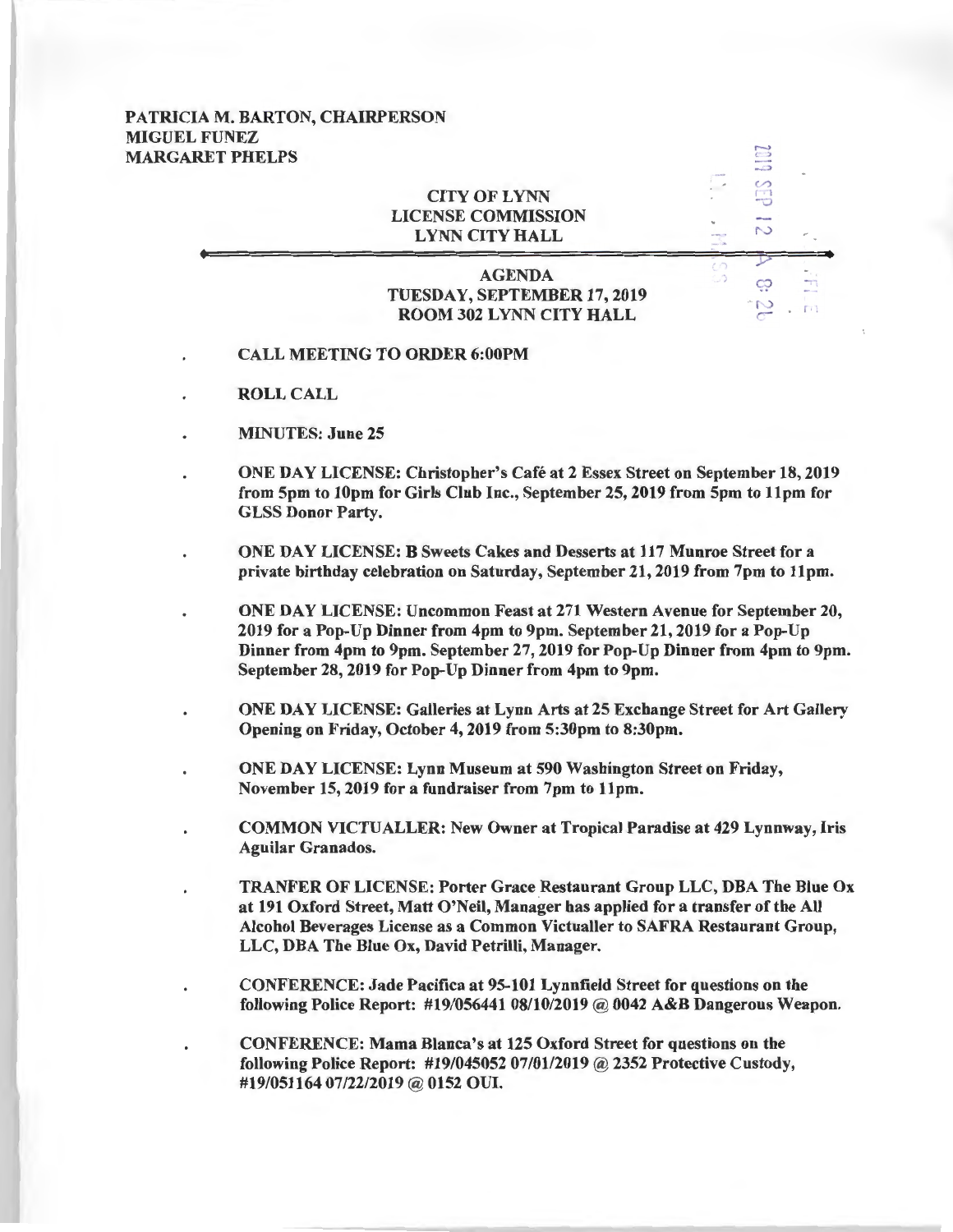## PATRICIA M. BARTON, CHAIRPERSON MIGUEL FUNEZ MARGARET PHELPS

## **CITY OF LYNN** LICENSE COMMISSION LYNN CITY HALL

## AGENDA TUESDAY, SEPTEMBER 17, 2019 ROOM 302 LYNN CITY HALL

~

 $\overline{\phantom{0}}$  $\overline{\phantom{a}}$  $\ddot{\circ}$  $\mathcal{L}$ r I  $\ddot{\circ}$  $\sim$ 

 $\ddot{\circ}$  $\sim$  .  $m$ 

- CALL MEETING TO ORDER 6:00PM
- ROLL CALL
- MINUTES: June 25
- ONE DAY LICENSE: Christopher's Cafe at 2 Essex Street on September 18, 2019 from 5pm to lOpm for Girls Club Inc., September 25, 2019 from 5pm to llpm for GLSS Donor Party.
- ONE DAY LICENSE: B Sweets Cakes and Desserts at 117 Munroe Street for a private birthday celebration on Saturday, September 21, 2019 from 7pm to llpm.
	- ONE DAY LICENSE: Uncommon Feast at 271 Western Avenue for September 20, 2019 for a Pop-Up Dinner from 4pm to 9pm. September 21, 2019 for a Pop-Up Dinner from 4pm to 9pm. September 27, 2019 for Pop-Up Dinner from 4pm to 9pm. September 28, 2019 for Pop-Up Dinner from 4pm to 9pm.
		- ONE DAY LICENSE: Galleries at Lynn Arts at 25 Exchange Street for Art Gallery Opening on Friday, October 4, 2019 from 5:30pm to 8:30pm.
	- ONE DAY LICENSE: Lynn Museum at 590 Washington Street on Friday, November 15, 2019 for a fundraiser from 7pm to llpm.
- COMMON VICTUALLER: New Owner at Tropical Paradise at 429 Lynnway, Iris Aguilar Granados.
	- TRANFER OF LICENSE: Porter Grace Restaurant Group LLC, DBA The Blue Ox at 191 Oxford Street, Matt O'Neil, Manager has applied for a transfer of the All Alcohol Beverages License as a Common Victualler to SAFRA Restaurant Group, LLC, DBA The Blue Ox, David Petrilli, Manager.
- CONFERENCE: Jade Pacifica at 95-101 Lynnfield Street for questions on the following Police Report: #19/05644108/10/2019 @ 0042 A&B Dangerous Weapon.
- CONFERENCE: Mama Blanca's at 125 Oxford Street for questions on the following Police Report: #19/045052 07/01/2019 @ 2352 Protective Custody, #19/051164 07/22/2019 @ 0152 OUI.